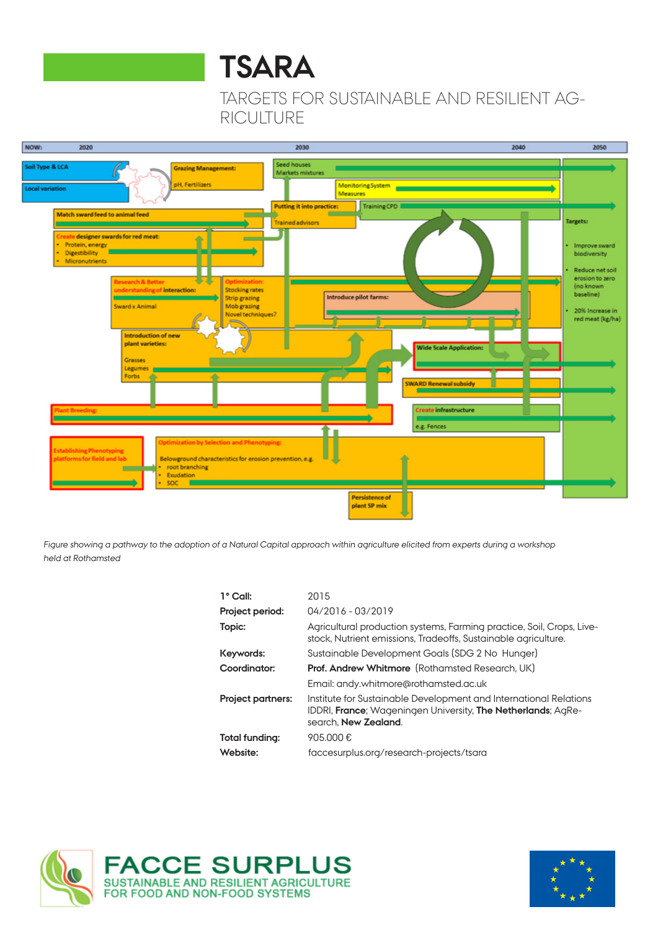# **TSARA**

TARGETS FOR SUSTAINABLE AND RESILIENT AG-RICULTURE



Figure showing a pathway to the adoption of a Natural Capital approach within agriculture elicited from experts during a workshop held at Rothamsted

| 1° Call:                 | 2015                                                                                                                                                      |
|--------------------------|-----------------------------------------------------------------------------------------------------------------------------------------------------------|
| Project period:          | 04/2016 - 03/2019                                                                                                                                         |
| Topic:                   | Agricultural production systems, Farming practice, Soil, Crops, Live-<br>stock, Nutrient emissions, Tradeoffs, Sustainable agriculture.                   |
| Keywords:                | Sustainable Development Goals (SDG 2 No Hunger)                                                                                                           |
| Coordinator:             | <b>Prof. Andrew Whitmore</b> (Rothamsted Research, UK)                                                                                                    |
|                          | Email: andy.whitmore@rothamsted.ac.uk                                                                                                                     |
| <b>Project partners:</b> | Institute for Sustainable Development and International Relations<br>IDDRI, France: Wageningen University, The Netherlands: AgRe-<br>search, New Zealand. |
| Total funding:           | 905.000€                                                                                                                                                  |
| Website:                 | faccesurplus.org/research-projects/tsara                                                                                                                  |